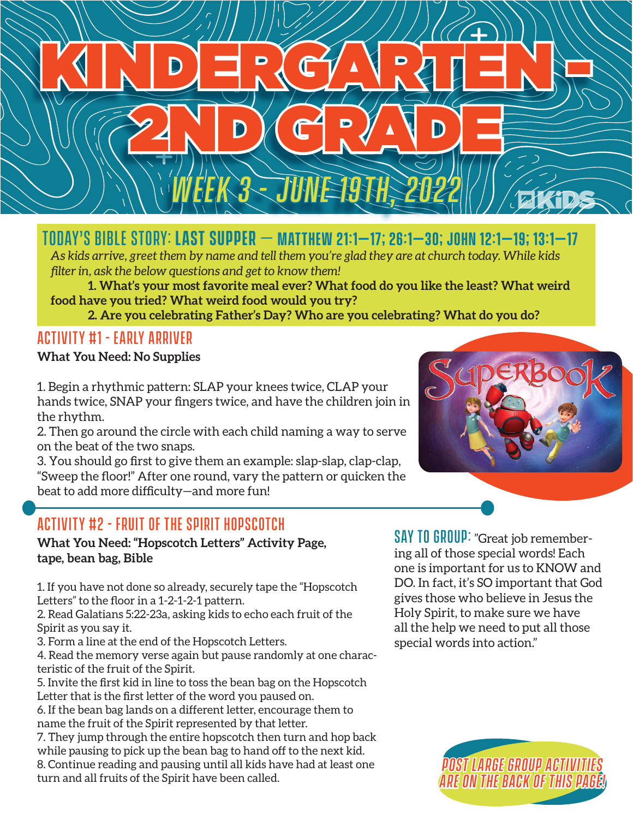

## Today's Bible Story: **Last Supper** – **Matthew 21:1–17; 26:1–30; John 12:1–19; 13:1–17**

*As kids arrive, greet them by name and tell them you're glad they are at church today. While kids filter in, ask the below questions and get to know them!*

**1. What's your most favorite meal ever? What food do you like the least? What weird food have you tried? What weird food would you try?**

**2. Are you celebrating Father's Day? Who are you celebrating? What do you do?**

#### Activity #1 - Early Arriver

#### **What You Need: No Supplies**

1. Begin a rhythmic pattern: SLAP your knees twice, CLAP your hands twice, SNAP your fingers twice, and have the children join in the rhythm.

2. Then go around the circle with each child naming a way to serve on the beat of the two snaps.

3. You should go first to give them an example: slap-slap, clap-clap, "Sweep the floor!" After one round, vary the pattern or quicken the beat to add more difficulty—and more fun!

### Activity #2 - Fruit of the spirit hopscotch

**What You Need: "Hopscotch Letters" Activity Page, tape, bean bag, Bible**

1. If you have not done so already, securely tape the "Hopscotch Letters" to the floor in a 1-2-1-2-1 pattern.

2. Read Galatians 5:22-23a, asking kids to echo each fruit of the Spirit as you say it.

3. Form a line at the end of the Hopscotch Letters.

4. Read the memory verse again but pause randomly at one characteristic of the fruit of the Spirit.

5. Invite the first kid in line to toss the bean bag on the Hopscotch Letter that is the first letter of the word you paused on.

6. If the bean bag lands on a different letter, encourage them to name the fruit of the Spirit represented by that letter.

7. They jump through the entire hopscotch then turn and hop back while pausing to pick up the bean bag to hand off to the next kid. 8. Continue reading and pausing until all kids have had at least one turn and all fruits of the Spirit have been called.

SAY TO GROUP: "Great job remembering all of those special words! Each one is important for us to KNOW and DO. In fact, it's SO important that God gives those who believe in Jesus the Holy Spirit, to make sure we have all the help we need to put all those special words into action."



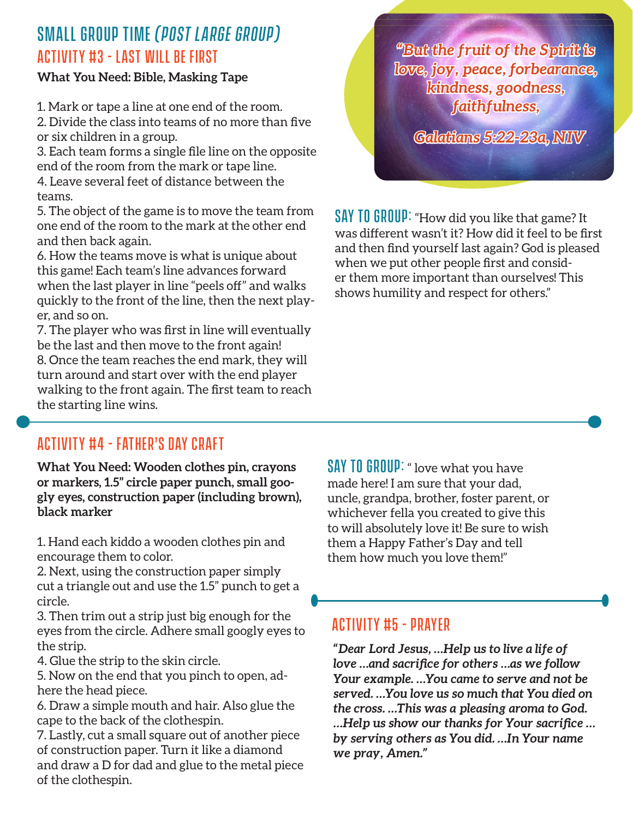### Small Group Time *(Post Large Group)* Activity #3 - Last will be first

#### **What You Need: Bible, Masking Tape**

1. Mark or tape a line at one end of the room.

2. Divide the class into teams of no more than five or six children in a group.

3. Each team forms a single file line on the opposite end of the room from the mark or tape line. 4. Leave several feet of distance between the teams.

5. The object of the game is to move the team from one end of the room to the mark at the other end and then back again.

6. How the teams move is what is unique about this game! Each team's line advances forward when the last player in line "peels off" and walks quickly to the front of the line, then the next player, and so on.

7. The player who was first in line will eventually be the last and then move to the front again! 8. Once the team reaches the end mark, they will turn around and start over with the end player walking to the front again. The first team to reach the starting line wins.

*"But the fruit of the Spirit is love, joy, peace, forbearance, kindness, goodness, faithfulness,* 

*Galatians 5:22-23a, NIV*

SAY TO GROUP: "How did you like that game? It was different wasn't it? How did it feel to be first and then find yourself last again? God is pleased when we put other people first and consider them more important than ourselves! This shows humility and respect for others."

### Activity #4 - Father's day craft

**What You Need: Wooden clothes pin, crayons or markers, 1.5" circle paper punch, small googly eyes, construction paper (including brown), black marker**

1. Hand each kiddo a wooden clothes pin and encourage them to color.

2. Next, using the construction paper simply cut a triangle out and use the 1.5" punch to get a circle.

3. Then trim out a strip just big enough for the eyes from the circle. Adhere small googly eyes to the strip.

4. Glue the strip to the skin circle.

5. Now on the end that you pinch to open, adhere the head piece.

6. Draw a simple mouth and hair. Also glue the cape to the back of the clothespin.

7. Lastly, cut a small square out of another piece of construction paper. Turn it like a diamond and draw a D for dad and glue to the metal piece of the clothespin.

**SAY TO GROUP:** " love what you have made here! I am sure that your dad, uncle, grandpa, brother, foster parent, or whichever fella you created to give this to will absolutely love it! Be sure to wish them a Happy Father's Day and tell them how much you love them!"

#### Activity #5 - Prayer

*"Dear Lord Jesus, …Help us to live a life of love …and sacrifice for others …as we follow Your example. …You came to serve and not be served. …You love us so much that You died on the cross. …This was a pleasing aroma to God. …Help us show our thanks for Your sacrifice … by serving others as You did. …In Your name we pray, Amen."*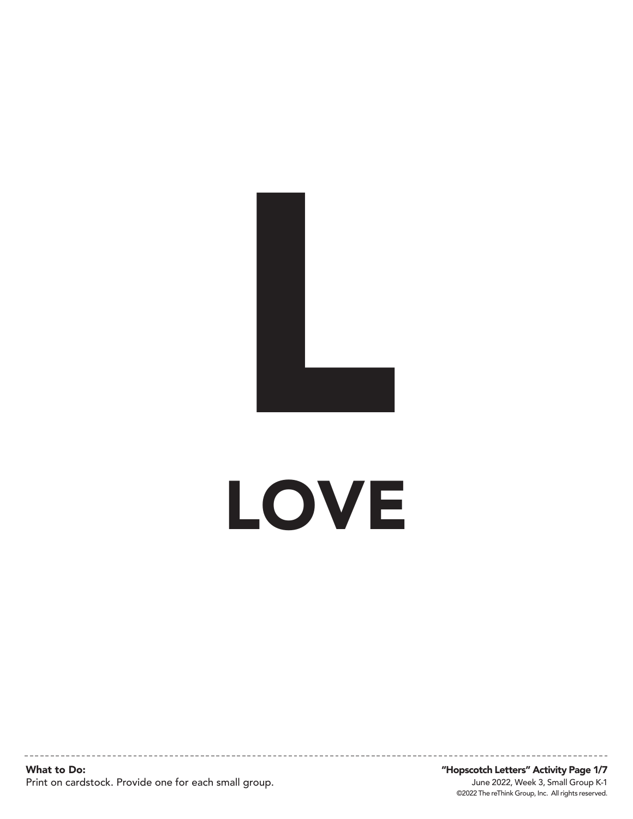

## LOVE

What to Do: Print on cardstock. Provide one for each small group.

©2022 The reThink Group, Inc. All rights reserved. June 2022, Week 3, Small Group K-1 "Hopscotch Letters" Activity Page 1/7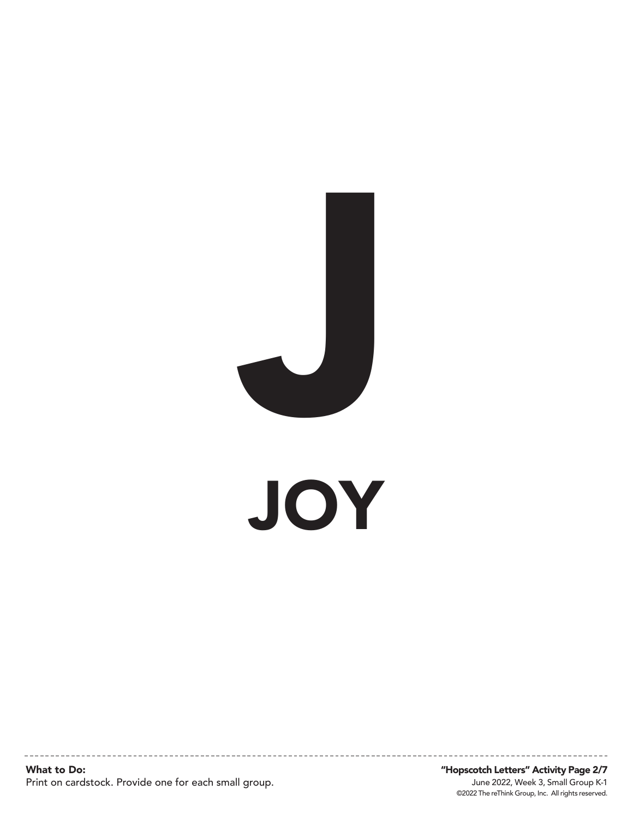

JOY

What to Do: Print on cardstock. Provide one for each small group.

©2022 The reThink Group, Inc. All rights reserved. June 2022, Week 3, Small Group K-1 "Hopscotch Letters" Activity Page 2/7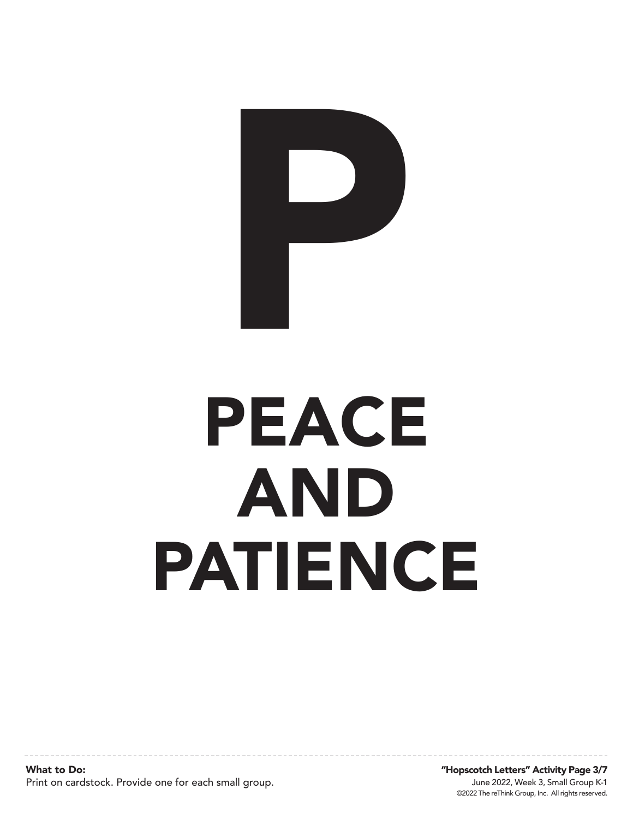

# PEACE AND PATIENCE

What to Do: Print on cardstock. Provide one for each small group.

©2022 The reThink Group, Inc. All rights reserved. June 2022, Week 3, Small Group K-1 "Hopscotch Letters" Activity Page 3/7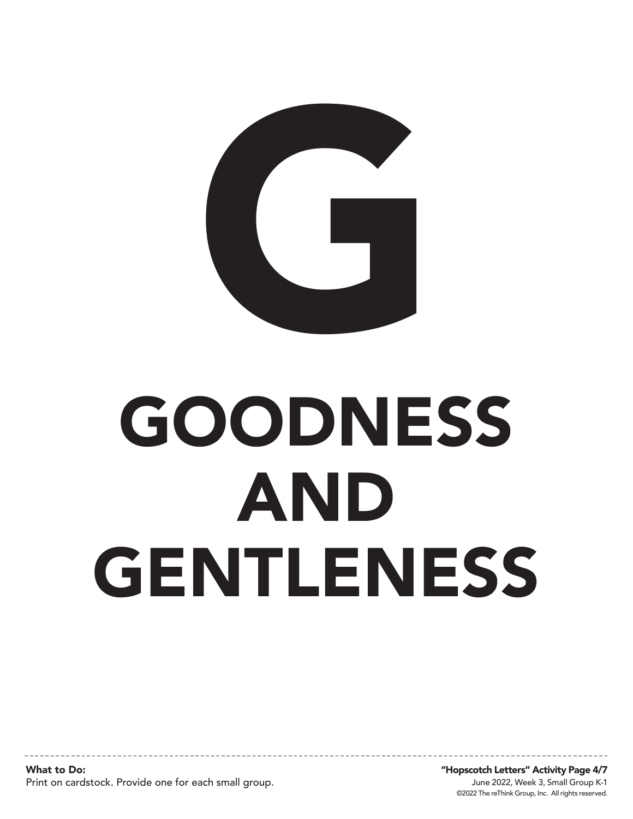

# GOODNESS AND **GENTLENESS**

What to Do: Print on cardstock. Provide one for each small group.

©2022 The reThink Group, Inc. All rights reserved. June 2022, Week 3, Small Group K-1 "Hopscotch Letters" Activity Page 4/7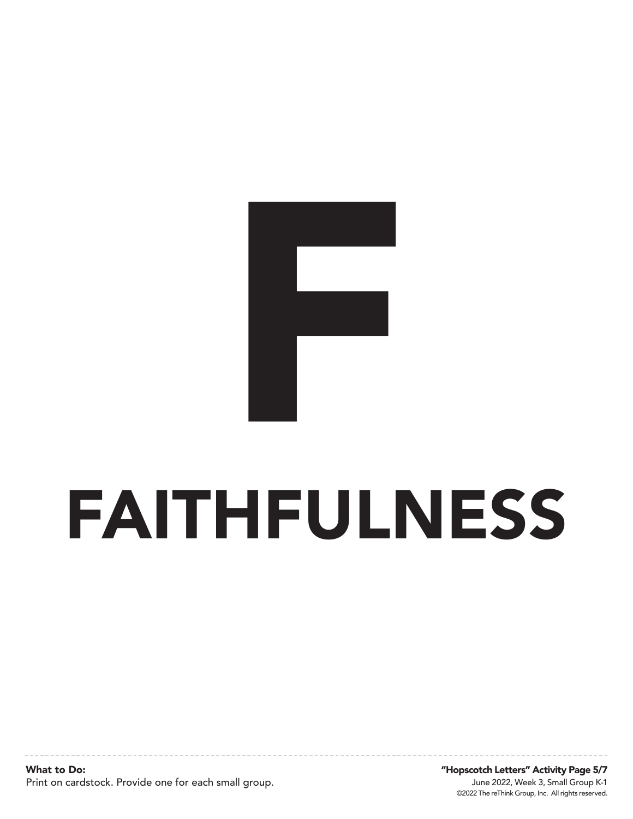

# FAITHFULNESS

What to Do: Print on cardstock. Provide one for each small group.

©2022 The reThink Group, Inc. All rights reserved. June 2022, Week 3, Small Group K-1 "Hopscotch Letters" Activity Page 5/7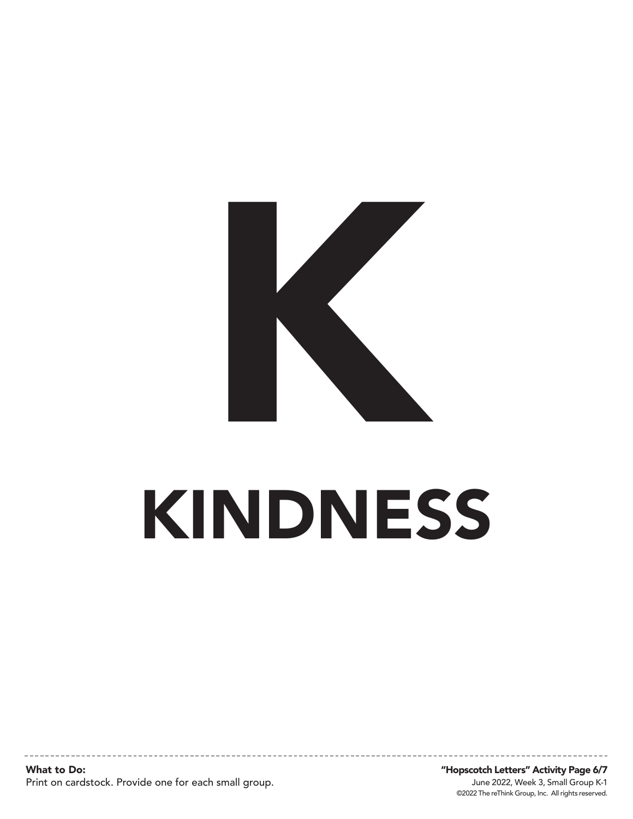

# KINDNESS

What to Do: Print on cardstock. Provide one for each small group.

©2022 The reThink Group, Inc. All rights reserved. June 2022, Week 3, Small Group K-1 "Hopscotch Letters" Activity Page 6/7